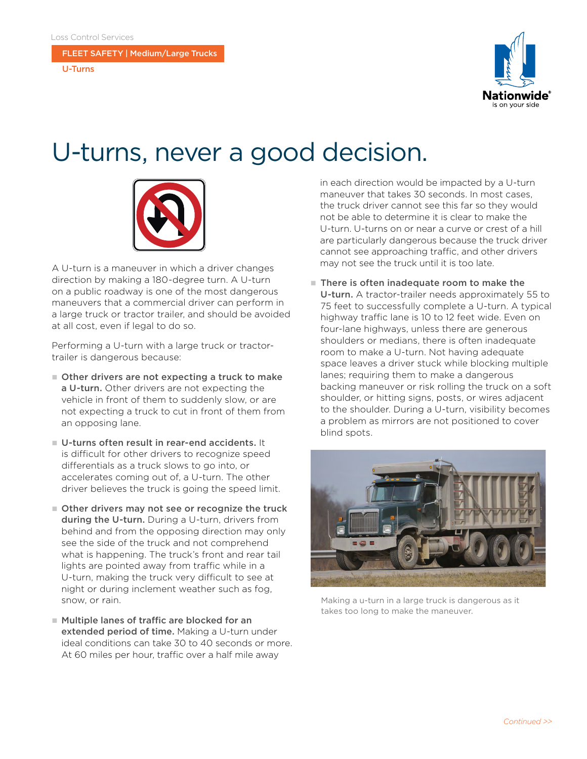FLEET SAFETY | Medium/Large Trucks

U-Turns



## U-turns, never a good decision.



A U-turn is a maneuver in which a driver changes direction by making a 180-degree turn. A U-turn on a public roadway is one of the most dangerous maneuvers that a commercial driver can perform in a large truck or tractor trailer, and should be avoided at all cost, even if legal to do so.

Performing a U-turn with a large truck or tractortrailer is dangerous because:

- $\blacksquare$  Other drivers are not expecting a truck to make a U-turn. Other drivers are not expecting the vehicle in front of them to suddenly slow, or are not expecting a truck to cut in front of them from an opposing lane.
- $\blacksquare$  U-turns often result in rear-end accidents. It is difficult for other drivers to recognize speed differentials as a truck slows to go into, or accelerates coming out of, a U-turn. The other driver believes the truck is going the speed limit.
- $\blacksquare$  Other drivers may not see or recognize the truck during the U-turn. During a U-turn, drivers from behind and from the opposing direction may only see the side of the truck and not comprehend what is happening. The truck's front and rear tail lights are pointed away from traffic while in a U-turn, making the truck very difficult to see at night or during inclement weather such as fog, snow, or rain.
- $\blacksquare$  Multiple lanes of traffic are blocked for an extended period of time. Making a U-turn under ideal conditions can take 30 to 40 seconds or more. At 60 miles per hour, traffic over a half mile away

in each direction would be impacted by a U-turn maneuver that takes 30 seconds. In most cases, the truck driver cannot see this far so they would not be able to determine it is clear to make the U-turn. U-turns on or near a curve or crest of a hill are particularly dangerous because the truck driver cannot see approaching traffic, and other drivers may not see the truck until it is too late.

 $\blacksquare$  There is often inadequate room to make the U-turn. A tractor-trailer needs approximately 55 to 75 feet to successfully complete a U-turn. A typical highway traffic lane is 10 to 12 feet wide. Even on four-lane highways, unless there are generous shoulders or medians, there is often inadequate room to make a U-turn. Not having adequate space leaves a driver stuck while blocking multiple lanes; requiring them to make a dangerous backing maneuver or risk rolling the truck on a soft shoulder, or hitting signs, posts, or wires adjacent to the shoulder. During a U-turn, visibility becomes a problem as mirrors are not positioned to cover blind spots.



Making a u-turn in a large truck is dangerous as it takes too long to make the maneuver.